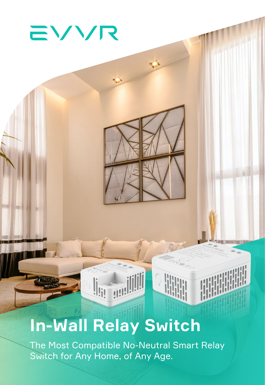# EVVR

# **In-Wall Relay Switch**

The Most Compatible No-Neutral Smart Relay Switch for Any Home, of Any Age.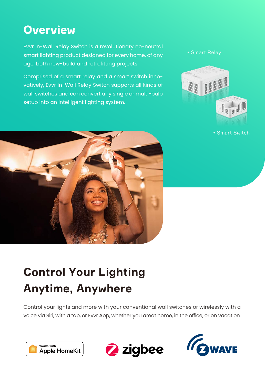#### **Overview**

Evvr In-Wall Relay Switch is a revolutionary no-neutral smart lighting product designed for every home, of any age, both new-build and retrofitting projects.

Comprised of a smart relay and a smart switch innovatively, Evvr In-Wall Relay Switch supports all kinds of wall switches and can convert any single or multi-bulb setup into an intelligent lighting system.





• Smart Switch

# **Control Your Lighting Anytime, Anywhere**

Control your lights and more with your conventional wall switches or wirelessly with a voice via Siri, with a tap, or Evvr App, whether you areat home, in the office, or on vacation.





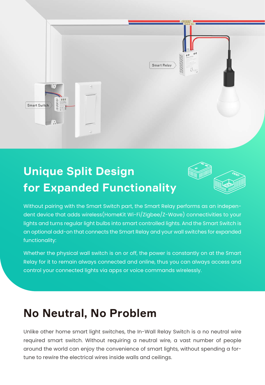

# **Unique Split Design for Expanded Functionality**



Without pairing with the Smart Switch part, the Smart Relay performs as an independent device that adds wireless(HomeKit Wi-Fi/Zigbee/Z-Wave) connectivities to your lights and turns regular light bulbs into smart controlled lights. And the Smart Switch is an optional add-on that connects the Smart Relay and your wall switches for expanded functionality:

Whether the physical wall switch is on or off, the power is constantly on at the Smart Relay for it to remain always connected and online, thus you can always access and control your connected lights via apps or voice commands wirelessly.

#### **No Neutral, No Problem**

Unlike other home smart light switches, the In-Wall Relay Switch is a no neutral wire required smart switch. Without requiring a neutral wire, a vast number of people around the world can enjoy the convenience of smart lights, without spending a fortune to rewire the electrical wires inside walls and ceilings.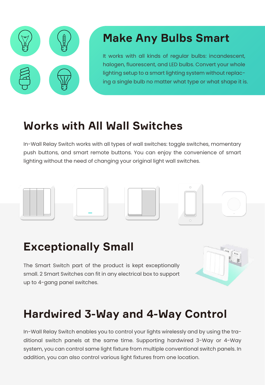

#### **Make Any Bulbs Smart**

It works with all kinds of regular bulbs: incandescent, halogen, fluorescent, and LED bulbs. Convert your whole lighting setup to a smart lighting system without replacing a single bulb no matter what type or what shape it is.

#### **Works with All Wall Switches**

In-Wall Relay Switch works with all types of wall switches: toggle switches, momentary push buttons, and smart remote buttons. You can enjoy the convenience of smart lighting without the need of changing your original light wall switches.



#### **Exceptionally Small**

The Smart Switch part of the product is kept exceptionally small. 2 Smart Switches can fit in any electrical box to support up to 4-gang panel switches.



### **Hardwired 3-Way and 4-Way Control**

In-Wall Relay Switch enables you to control your lights wirelessly and by using the traditional switch panels at the same time. Supporting hardwired 3-Way or 4-Way system, you can control same light fixture from multiple conventional switch panels. In addition, you can also control various light fixtures from one location.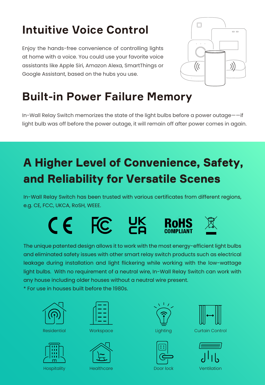# **Intuitive Voice Control**

Enjoy the hands-free convenience of controlling lights at home with a voice. You could use your favorite voice assistants like Apple Siri, Amazon Alexa, SmartThings or Google Assistant, based on the hubs you use.



## **Built-in Power Failure Memory**

In-Wall Relay Switch memorizes the state of the light bulbs before a power outage——if light bulb was off before the power outage, it will remain off after power comes in again.

# **A Higher Level of Convenience, Safety, and Reliability for Versatile Scenes**

In-Wall Relay Switch has been trusted with various certificates from different regions, e.g. CE, FCC, UKCA, RoSH, WEEE.

> UK<br>CA  $CE$  FC

The unique patented design allows it to work with the most energy-efficient light bulbs and eliminated safety issues with other smart relay switch products such as electrical leakage during installation and light flickering while working with the low-wattage light bulbs. With no requirement of a neutral wire, In-Wall Relay Switch can work with any house including older houses without a neutral wire present.

\* For use in houses built before the 1980s.



Residential Workspace











Lighting Curtain Control



Hospitality Healthcare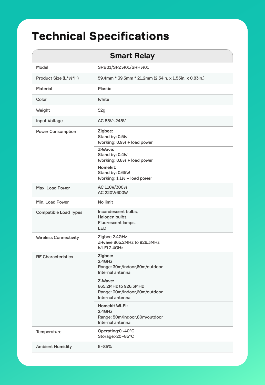# **Technical Specifications**

| <b>Smart Relay</b>           |                                                                                      |
|------------------------------|--------------------------------------------------------------------------------------|
| Model                        | SRB01/SRZW01/SRHW01                                                                  |
| Product Size (L*W*H)         | 59.4mm * 39.3mm * 21.2mm (2.34in. x 1.55in. x 0.83in.)                               |
| <b>Material</b>              | <b>Plastic</b>                                                                       |
| Color                        | <b>White</b>                                                                         |
| Weight                       | 52g                                                                                  |
| <b>Input Voltage</b>         | AC 85V~245V                                                                          |
| <b>Power Consumption</b>     | Zigbee:<br>Stand by: 0.5W<br>Working: 0.9W + load power                              |
|                              | Z-Wave:<br>Stand by: 0.4W<br>Working: 0.8W + load power                              |
|                              | <b>Homekit:</b><br>Stand by: 0.65W<br>Working: 1.1W + load power                     |
| Max. Load Power              | AC 110V/300W<br>AC 220V/600W                                                         |
| Min. Load Power              | No limit                                                                             |
| <b>Compatible Load Types</b> | Incandescent bulbs,<br>Halogen bulbs,<br>Fluorescent lamps,<br><b>LED</b>            |
| <b>Wireless Connectivity</b> | Zigbee 2.4GHz<br>Z-Wave 865.2MHz to 926.3MHz<br>Wi-Fi 2.4GHz                         |
| <b>RF Characteristics</b>    | Zigbee:<br>2.4GHz<br>Range: 30m/indoor,60m/outdoor<br>Internal antenna               |
|                              | Z-Wave:<br>865.2MHz to 926.3MHz<br>Range: 30m/indoor,60m/outdoor<br>Internal antenna |
|                              | <b>Homekit Wi-Fi:</b><br>2.4GHz<br>Range: 50m/indoor,80m/outdoor<br>Internal antenna |
| Temperature                  | Operating:0~40°C<br>Storage:-20~85°C                                                 |
| <b>Ambient Humidity</b>      | $5 - 85%$                                                                            |